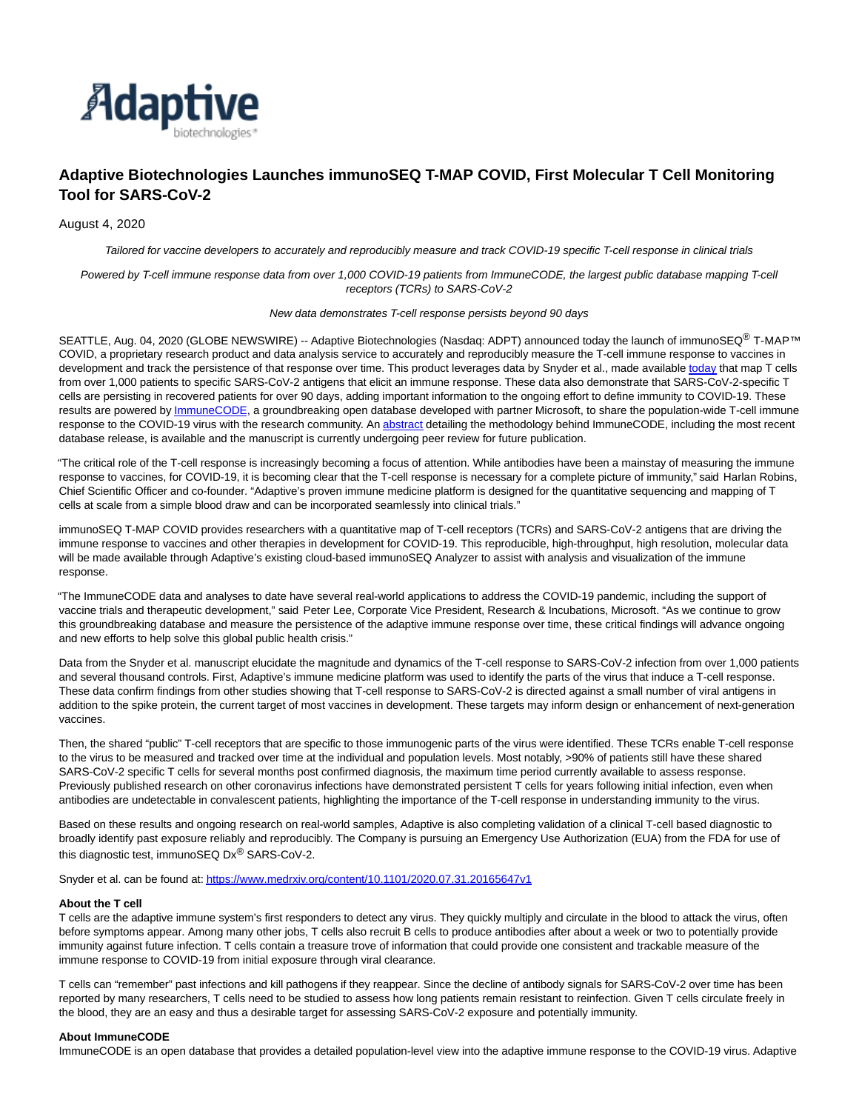

# **Adaptive Biotechnologies Launches immunoSEQ T-MAP COVID, First Molecular T Cell Monitoring Tool for SARS-CoV-2**

August 4, 2020

Tailored for vaccine developers to accurately and reproducibly measure and track COVID-19 specific T-cell response in clinical trials

Powered by T-cell immune response data from over 1,000 COVID-19 patients from ImmuneCODE, the largest public database mapping T-cell receptors (TCRs) to SARS-CoV-2

#### New data demonstrates T-cell response persists beyond 90 days

SEATTLE, Aug. 04, 2020 (GLOBE NEWSWIRE) -- Adaptive Biotechnologies (Nasdaq: ADPT) announced today the launch of immunoSEQ® T-MAP™ COVID, a proprietary research product and data analysis service to accurately and reproducibly measure the T-cell immune response to vaccines in development and track the persistence of that response over time. This product leverages data by Snyder et al., made availabl[e today t](https://www.globenewswire.com/Tracker?data=v5iH6hC58rUMEmgne-XC1VOcowO6jAUPgvKU_g6UQcBb19_i4SfOZA4z2nUAP_H7dQ6qg24alHjPD60yZgubq5FaXLYFQL1kVLlPGFLrccNykgWmk25jkLLHXCldVXZh)hat map T cells from over 1,000 patients to specific SARS-CoV-2 antigens that elicit an immune response. These data also demonstrate that SARS-CoV-2-specific T cells are persisting in recovered patients for over 90 days, adding important information to the ongoing effort to define immunity to COVID-19. These results are powered by **ImmuneCODE**, a groundbreaking open database developed with partner Microsoft, to share the population-wide T-cell immune response to the COVID-19 virus with the research community. A[n abstract d](https://www.globenewswire.com/Tracker?data=Nu2Z8p62i27oKdVzEBi2XOJKmkPKm3-9Evr_bYTy5QywOm4Eaa5QoXGNT4LcYiIq4s-5RzqECUNA-If52MnsbXqUpkzrNzstwXahHTSrqK0=)etailing the methodology behind ImmuneCODE, including the most recent database release, is available and the manuscript is currently undergoing peer review for future publication.

"The critical role of the T-cell response is increasingly becoming a focus of attention. While antibodies have been a mainstay of measuring the immune response to vaccines, for COVID-19, it is becoming clear that the T-cell response is necessary for a complete picture of immunity," said Harlan Robins, Chief Scientific Officer and co-founder. "Adaptive's proven immune medicine platform is designed for the quantitative sequencing and mapping of T cells at scale from a simple blood draw and can be incorporated seamlessly into clinical trials."

immunoSEQ T-MAP COVID provides researchers with a quantitative map of T-cell receptors (TCRs) and SARS-CoV-2 antigens that are driving the immune response to vaccines and other therapies in development for COVID-19. This reproducible, high-throughput, high resolution, molecular data will be made available through Adaptive's existing cloud-based immunoSEQ Analyzer to assist with analysis and visualization of the immune response.

"The ImmuneCODE data and analyses to date have several real-world applications to address the COVID-19 pandemic, including the support of vaccine trials and therapeutic development," said Peter Lee, Corporate Vice President, Research & Incubations, Microsoft. "As we continue to grow this groundbreaking database and measure the persistence of the adaptive immune response over time, these critical findings will advance ongoing and new efforts to help solve this global public health crisis."

Data from the Snyder et al. manuscript elucidate the magnitude and dynamics of the T-cell response to SARS-CoV-2 infection from over 1,000 patients and several thousand controls. First, Adaptive's immune medicine platform was used to identify the parts of the virus that induce a T-cell response. These data confirm findings from other studies showing that T-cell response to SARS-CoV-2 is directed against a small number of viral antigens in addition to the spike protein, the current target of most vaccines in development. These targets may inform design or enhancement of next-generation vaccines.

Then, the shared "public" T-cell receptors that are specific to those immunogenic parts of the virus were identified. These TCRs enable T-cell response to the virus to be measured and tracked over time at the individual and population levels. Most notably, >90% of patients still have these shared SARS-CoV-2 specific T cells for several months post confirmed diagnosis, the maximum time period currently available to assess response. Previously published research on other coronavirus infections have demonstrated persistent T cells for years following initial infection, even when antibodies are undetectable in convalescent patients, highlighting the importance of the T-cell response in understanding immunity to the virus.

Based on these results and ongoing research on real-world samples, Adaptive is also completing validation of a clinical T-cell based diagnostic to broadly identify past exposure reliably and reproducibly. The Company is pursuing an Emergency Use Authorization (EUA) from the FDA for use of this diagnostic test, immunoSEQ Dx<sup>®</sup> SARS-CoV-2.

Snyder et al. can be found at[: https://www.medrxiv.org/content/10.1101/2020.07.31.20165647v1](https://www.globenewswire.com/Tracker?data=MRTxE1o9yc5dN0RUh1duGtV4Cq56-lCgfvSqlspCTp4syhDxLMkcjBFgXKEcXi1XJOWfAbcMGL5crl0aLKQoRdmWBaQqKVcPR-_18jcuRjB1GqUvQj_rQeNSiSfQNlEUio6pkDRKdzdkyzOMiTpHecGfCKDg1kuTI7Z-rP4TOPzzlkB2dZkMDUVJKIf-oeIuXhbk06bfrsiYwdtnyLrivg==)

# **About the T cell**

T cells are the adaptive immune system's first responders to detect any virus. They quickly multiply and circulate in the blood to attack the virus, often before symptoms appear. Among many other jobs, T cells also recruit B cells to produce antibodies after about a week or two to potentially provide immunity against future infection. T cells contain a treasure trove of information that could provide one consistent and trackable measure of the immune response to COVID-19 from initial exposure through viral clearance.

T cells can "remember" past infections and kill pathogens if they reappear. Since the decline of antibody signals for SARS-CoV-2 over time has been reported by many researchers, T cells need to be studied to assess how long patients remain resistant to reinfection. Given T cells circulate freely in the blood, they are an easy and thus a desirable target for assessing SARS-CoV-2 exposure and potentially immunity.

#### **About ImmuneCODE**

ImmuneCODE is an open database that provides a detailed population-level view into the adaptive immune response to the COVID-19 virus. Adaptive